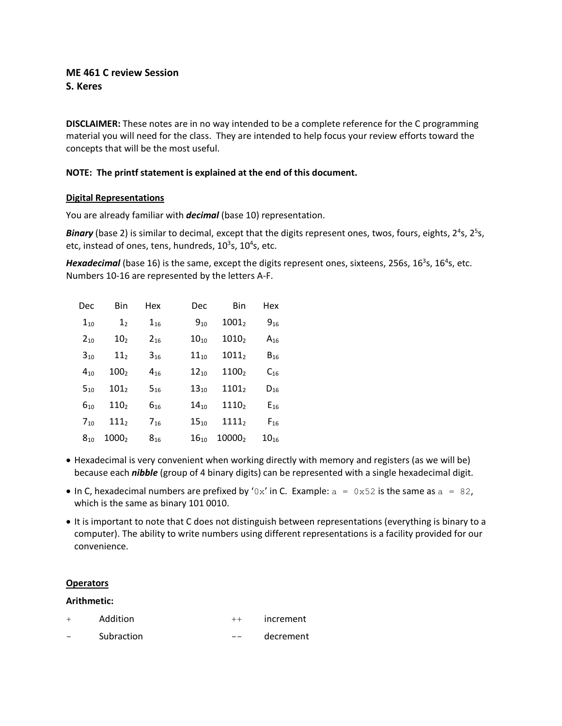# **ME 461 C review Session S. Keres**

**DISCLAIMER:** These notes are in no way intended to be a complete reference for the C programming material you will need for the class. They are intended to help focus your review efforts toward the concepts that will be the most useful.

## **NOTE: The printf statement is explained at the end of this document.**

### **Digital Representations**

You are already familiar with *decimal* (base 10) representation.

Binary (base 2) is similar to decimal, except that the digits represent ones, twos, fours, eights, 2<sup>4</sup>s, 2<sup>5</sup>s, etc, instead of ones, tens, hundreds,  $10^3$ s,  $10^4$ s, etc.

Hexadecimal (base 16) is the same, except the digits represent ones, sixteens, 256s, 16<sup>3</sup>s, 16<sup>4</sup>s, etc. Numbers 10-16 are represented by the letters A-F.

| Dec      | Bin              | Hex      | Dec       | Bin               | Hex       |
|----------|------------------|----------|-----------|-------------------|-----------|
| $1_{10}$ | 1 <sub>2</sub>   | $1_{16}$ | $9_{10}$  | 1001 <sub>2</sub> | $9_{16}$  |
| $2_{10}$ | 10 <sub>2</sub>  | $2_{16}$ | $10_{10}$ | $1010_2$          | $A_{16}$  |
| $3_{10}$ | 11 <sub>2</sub>  | $3_{16}$ | $11_{10}$ | $1011_2$          | $B_{16}$  |
| $4_{10}$ | 100 <sub>2</sub> | $4_{16}$ | $12_{10}$ | 11002             | $C_{16}$  |
| $5_{10}$ | 101 <sub>2</sub> | $5_{16}$ | $13_{10}$ | 1101 <sub>2</sub> | $D_{16}$  |
| $6_{10}$ | 110 <sub>2</sub> | $6_{16}$ | $14_{10}$ | 1110 <sub>2</sub> | $E_{16}$  |
| $7_{10}$ | $111_2$          | $7_{16}$ | $15_{10}$ | $1111_2$          | $F_{16}$  |
| $8_{10}$ | 10002            | $8_{16}$ | $16_{10}$ | 100002            | $10_{16}$ |

- Hexadecimal is very convenient when working directly with memory and registers (as we will be) because each *nibble* (group of 4 binary digits) can be represented with a single hexadecimal digit.
- In C, hexadecimal numbers are prefixed by '0x' in C. Example:  $a = 0 \times 52$  is the same as  $a = 82$ , which is the same as binary 101 0010.
- It is important to note that C does not distinguish between representations (everything is binary to a computer). The ability to write numbers using different representations is a facility provided for our convenience.

### **Operators**

### **Arithmetic:**

- + Addition ++ increment
- Subraction -- decrement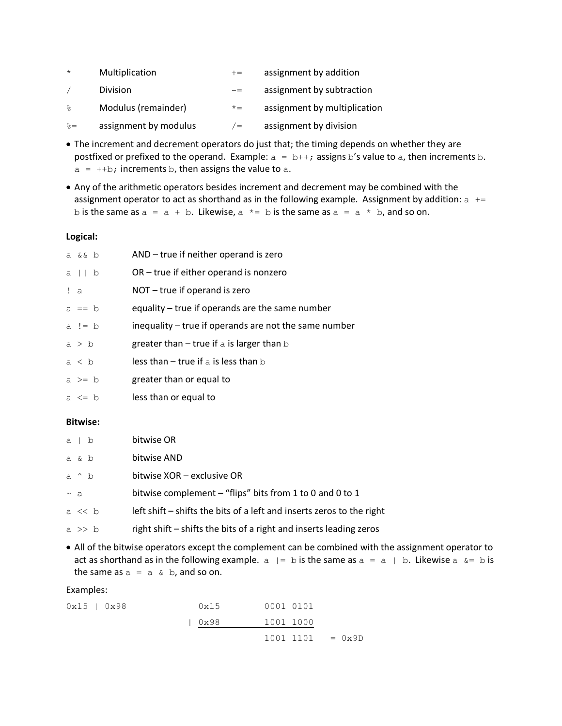| $\star$     | Multiplication        | $+=$  | assignment by addition       |
|-------------|-----------------------|-------|------------------------------|
|             | <b>Division</b>       | $- =$ | assignment by subtraction    |
| $\approx$   | Modulus (remainder)   | $x =$ | assignment by multiplication |
| $\hat{z} =$ | assignment by modulus | $/ =$ | assignment by division       |

- The increment and decrement operators do just that; the timing depends on whether they are postfixed or prefixed to the operand. Example:  $a = b++$ ; assigns b's value to a, then increments b.  $a = ++b$ ; increments b, then assigns the value to a.
- Any of the arithmetic operators besides increment and decrement may be combined with the assignment operator to act as shorthand as in the following example. Assignment by addition:  $a$  += b is the same as  $a = a + b$ . Likewise,  $a * = b$  is the same as  $a = a * b$ , and so on.

### **Logical:**

| a && b     | AND - true if neither operand is zero                 |
|------------|-------------------------------------------------------|
| a II b     | $OR$ – true if either operand is nonzero              |
| ! a        | NOT – true if operand is zero                         |
| $a == b$   | equality – true if operands are the same number       |
| a != $b$   | inequality – true if operands are not the same number |
| a > b      | greater than $-$ true if a is larger than $\mathbf b$ |
| a < b      | less than $-$ true if a is less than $\mathbf b$      |
| $a \geq b$ | greater than or equal to                              |
| a $\leq$ b | less than or equal to                                 |
|            |                                                       |

#### **Bitwise:**

|          | $a + b$   | bitwise OR                                                            |
|----------|-----------|-----------------------------------------------------------------------|
|          | a & b     | bitwise AND                                                           |
|          | a ^ b     | bitwise XOR – exclusive OR                                            |
| $\sim a$ |           | bitwise complement – "flips" bits from 1 to 0 and 0 to 1              |
|          | $a \ll b$ | left shift – shifts the bits of a left and inserts zeros to the right |
|          | a >> b    | right shift – shifts the bits of a right and inserts leading zeros    |

• All of the bitwise operators except the complement can be combined with the assignment operator to act as shorthand as in the following example.  $a \mid b$  is the same as  $a = a \mid b$ . Likewise  $a \& b$  is the same as  $a = a \& b$ , and so on.

#### Examples:

| $0x15$   $0x98$ | 0x15 | 0001 0101          |  |
|-----------------|------|--------------------|--|
|                 | 0x98 | 1001 1000          |  |
|                 |      | $1001 1101 = 0x9D$ |  |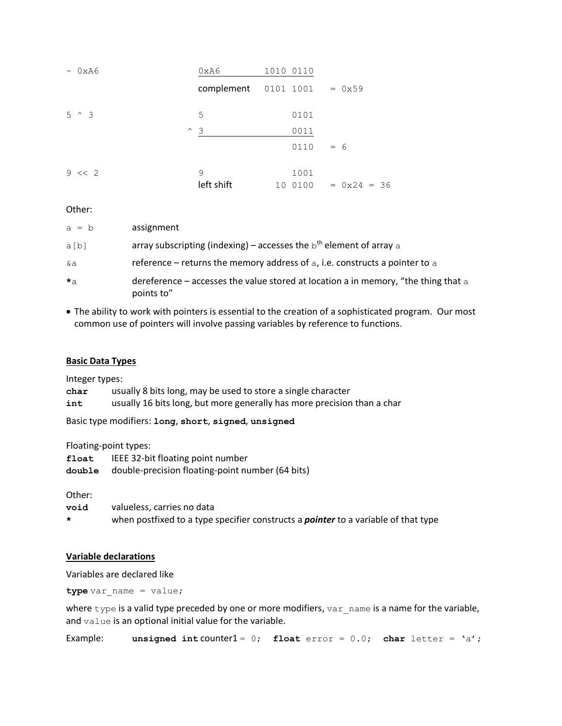| $\sim$ 0xA6     | 0xA6            | 1010 0110            |               |
|-----------------|-----------------|----------------------|---------------|
|                 |                 | complement 0101 1001 | $= 0x59$      |
| $5^{\circ}$ $3$ | 5               | 0101                 |               |
|                 | $\sim$ 3        | 0011                 |               |
|                 |                 | 0110                 | $= 6$         |
| $9 \le 2$       | 9<br>left shift | 1001<br>0100<br>10   | $= 0x24 = 36$ |

Other:

| $a = b$   | assignment                                                                                       |
|-----------|--------------------------------------------------------------------------------------------------|
| a[b]      | array subscripting (indexing) – accesses the $bth$ element of array a                            |
| &a        | reference – returns the memory address of $a$ , i.e. constructs a pointer to $a$                 |
| $\star$ a | dereference – accesses the value stored at location a in memory, "the thing that a<br>points to" |

• The ability to work with pointers is essential to the creation of a sophisticated program. Our most common use of pointers will involve passing variables by reference to functions.

## **Basic Data Types**

Integer types:

**char** usually 8 bits long, may be used to store a single character

**int** usually 16 bits long, but more generally has more precision than a char

Basic type modifiers: **long**, **short**, **signed**, **unsigned**

Floating-point types:

| float | IEEE 32-bit floating point number                       |
|-------|---------------------------------------------------------|
|       | double double-precision floating-point number (64 bits) |

Other:

**void** valueless, carries no data

**\*** when postfixed to a type specifier constructs a *pointer* to a variable of that type

## **Variable declarations**

Variables are declared like

**type** var name = value;

where  $type$  is a valid type preceded by one or more modifiers,  $var$  name is a name for the variable, and value is an optional initial value for the variable.

**Example: unsigned int counter1** = 0; **float** error =  $0.0$ ; **char** letter =  $'a'$ ;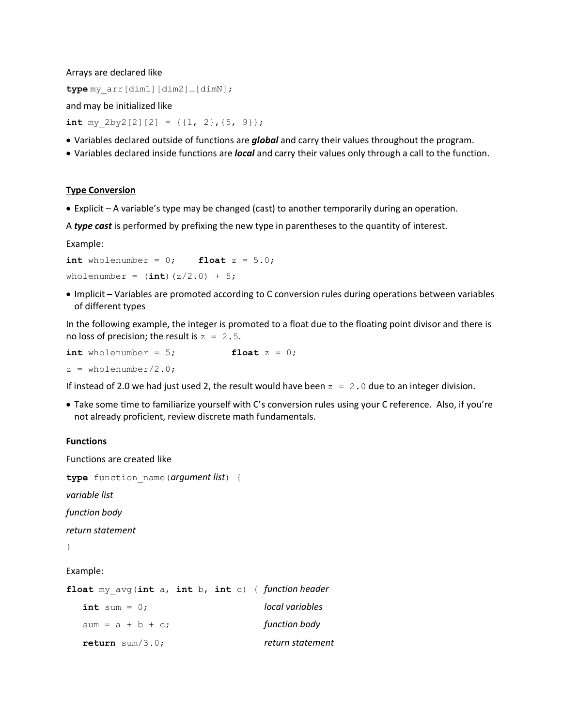Arrays are declared like

**type** my\_arr[dim1][dim2]…[dimN];

and may be initialized like

**int** my  $2by2[2][2] = \{(1, 2), (5, 9)\};$ 

- Variables declared outside of functions are *global* and carry their values throughout the program.
- Variables declared inside functions are *local* and carry their values only through a call to the function.

#### **Type Conversion**

• Explicit – A variable's type may be changed (cast) to another temporarily during an operation.

A *type cast* is performed by prefixing the new type in parentheses to the quantity of interest.

Example:

```
int wholenumber = 0; float z = 5.0;
wholenumber = (int)(z/2.0) + 5;
```
• Implicit – Variables are promoted according to C conversion rules during operations between variables of different types

In the following example, the integer is promoted to a float due to the floating point divisor and there is no loss of precision; the result is  $z = 2.5$ .

 $int$  wholenumber = 5;  $\qquad \qquad$  **float**  $z = 0$ ;  $z =$  wholenumber/2.0;

If instead of 2.0 we had just used 2, the result would have been  $z = 2.0$  due to an integer division.

• Take some time to familiarize yourself with C's conversion rules using your C reference. Also, if you're not already proficient, review discrete math fundamentals.

#### **Functions**

Functions are created like **type** function\_name(*argument list*) { *variable list function body return statement* } Example: **float** my\_avg(**int** a, **int** b, **int** c) { *function header* **int** sum = 0; *local variables* sum = a + b + c; *function body* **return** sum/3.0; *return statement*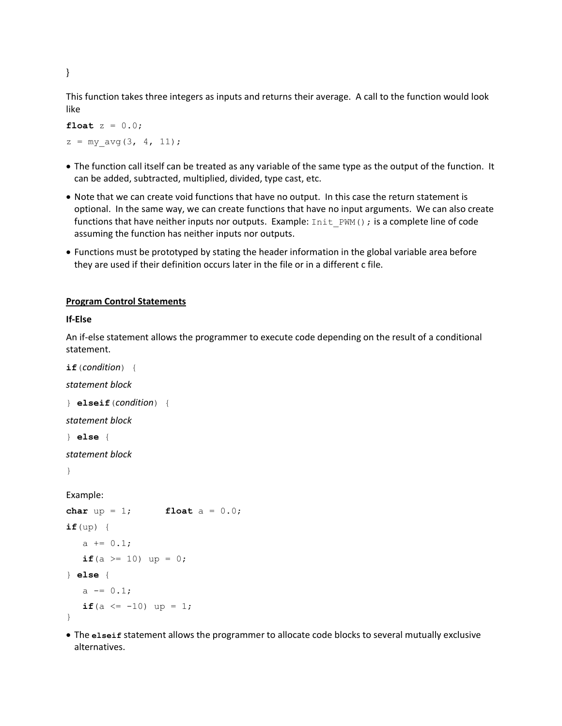This function takes three integers as inputs and returns their average. A call to the function would look like

**float**  $z = 0.0$ ;  $z = my \text{ avg}(3, 4, 11);$ 

- The function call itself can be treated as any variable of the same type as the output of the function. It can be added, subtracted, multiplied, divided, type cast, etc.
- Note that we can create void functions that have no output. In this case the return statement is optional. In the same way, we can create functions that have no input arguments. We can also create functions that have neither inputs nor outputs. Example: Init\_PWM(); is a complete line of code assuming the function has neither inputs nor outputs.
- Functions must be prototyped by stating the header information in the global variable area before they are used if their definition occurs later in the file or in a different c file.

## **Program Control Statements**

### **If-Else**

An if-else statement allows the programmer to execute code depending on the result of a conditional statement.

**if**(*condition*) { *statement block* } **elseif**(*condition*) { *statement block* } **else** { *statement block* } Example: **char**  $up = 1$ ; **float**  $a = 0.0$ ; **if**(up) { a  $+= 0.1;$ **if**(a  $>= 10$ ) up = 0; } **else** {  $a = 0.1;$ **if**(a  $\leq -10$ ) up = 1; }

• The **elseif** statement allows the programmer to allocate code blocks to several mutually exclusive alternatives.

}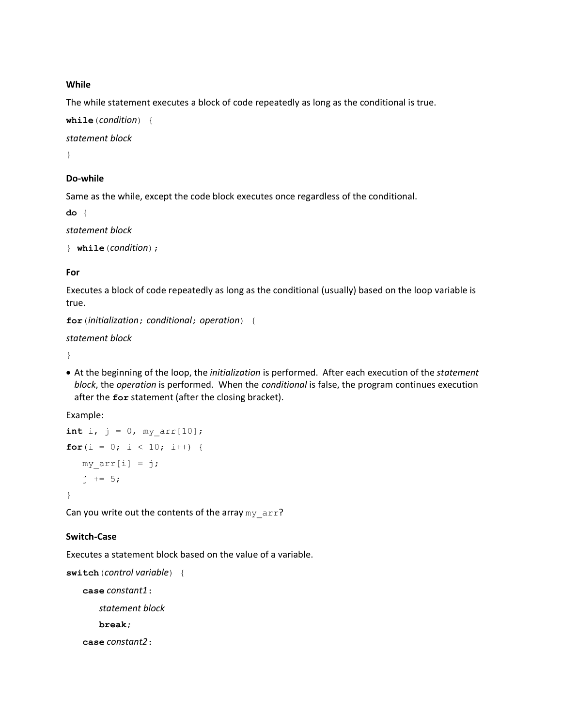### **While**

The while statement executes a block of code repeatedly as long as the conditional is true.

```
while(condition) {
```
*statement block*

}

# **Do-while**

Same as the while, except the code block executes once regardless of the conditional.

**do** {

*statement block*

```
} while(condition);
```
## **For**

Executes a block of code repeatedly as long as the conditional (usually) based on the loop variable is true.

```
for(initialization; conditional; operation) {
```
*statement block*

}

• At the beginning of the loop, the *initialization* is performed. After each execution of the *statement block*, the *operation* is performed. When the *conditional* is false, the program continues execution after the **for** statement (after the closing bracket).

Example:

```
int i, j = 0, my arr[10];
for(i = 0; i < 10; i++) {
  my arr[i] = j;j += 5;
}
```
Can you write out the contents of the array  $my\_arr$ ?

## **Switch-Case**

Executes a statement block based on the value of a variable.

```
switch(control variable) {
```
**case** *constant1*: *statement block*

**break**;

**case** *constant2*: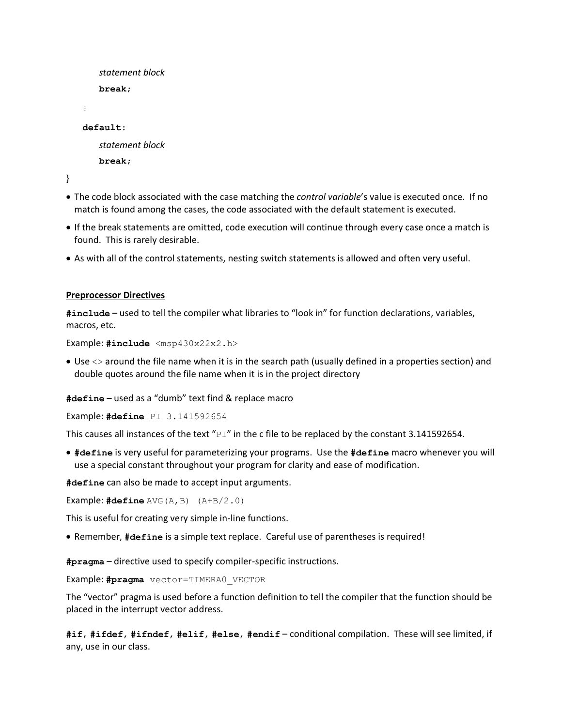```
statement block
      break;
   ⋮
   default:
       statement block
       break;
}
```
• The code block associated with the case matching the *control variable*'s value is executed once. If no match is found among the cases, the code associated with the default statement is executed.

- If the break statements are omitted, code execution will continue through every case once a match is found. This is rarely desirable.
- As with all of the control statements, nesting switch statements is allowed and often very useful.

### **Preprocessor Directives**

**#include** – used to tell the compiler what libraries to "look in" for function declarations, variables, macros, etc.

Example: **#include** <msp430x22x2.h>

• Use <> around the file name when it is in the search path (usually defined in a properties section) and double quotes around the file name when it is in the project directory

**#define** – used as a "dumb" text find & replace macro

Example: **#define** PI 3.141592654

This causes all instances of the text " $PI$ " in the c file to be replaced by the constant 3.141592654.

• **#define** is very useful for parameterizing your programs. Use the **#define** macro whenever you will use a special constant throughout your program for clarity and ease of modification.

**#define** can also be made to accept input arguments.

Example: **#define** AVG(A,B) (A+B/2.0)

This is useful for creating very simple in-line functions.

• Remember, **#define** is a simple text replace. Careful use of parentheses is required!

**#pragma** – directive used to specify compiler-specific instructions.

Example: **#pragma** vector=TIMERA0\_VECTOR

The "vector" pragma is used before a function definition to tell the compiler that the function should be placed in the interrupt vector address.

**#if**, **#ifdef**, **#ifndef**, **#elif**, **#else**, **#endif** – conditional compilation. These will see limited, if any, use in our class.